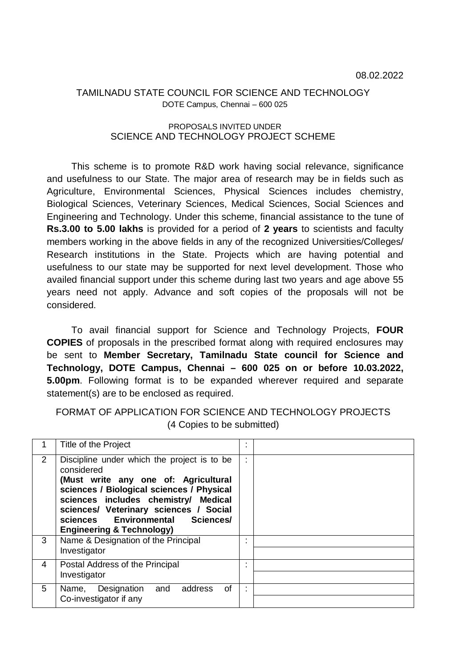### TAMILNADU STATE COUNCIL FOR SCIENCE AND TECHNOLOGY DOTE Campus, Chennai – 600 025

#### PROPOSALS INVITED UNDER SCIENCE AND TECHNOLOGY PROJECT SCHEME

This scheme is to promote R&D work having social relevance, significance and usefulness to our State. The major area of research may be in fields such as Agriculture, Environmental Sciences, Physical Sciences includes chemistry, Biological Sciences, Veterinary Sciences, Medical Sciences, Social Sciences and Engineering and Technology. Under this scheme, financial assistance to the tune of **Rs.3.00 to 5.00 lakhs** is provided for a period of **2 years** to scientists and faculty members working in the above fields in any of the recognized Universities/Colleges/ Research institutions in the State. Projects which are having potential and usefulness to our state may be supported for next level development. Those who availed financial support under this scheme during last two years and age above 55 years need not apply. Advance and soft copies of the proposals will not be considered.

To avail financial support for Science and Technology Projects, **FOUR COPIES** of proposals in the prescribed format along with required enclosures may be sent to **Member Secretary, Tamilnadu State council for Science and Technology, DOTE Campus, Chennai – 600 025 on or before 10.03.2022, 5.00pm**. Following format is to be expanded wherever required and separate statement(s) are to be enclosed as required.

### FORMAT OF APPLICATION FOR SCIENCE AND TECHNOLOGY PROJECTS (4 Copies to be submitted)

|                      | Title of the Project                                                                                                                                                                                                                                                                                         | ٠       |  |
|----------------------|--------------------------------------------------------------------------------------------------------------------------------------------------------------------------------------------------------------------------------------------------------------------------------------------------------------|---------|--|
| $\mathbf{2}^{\circ}$ | Discipline under which the project is to be<br>considered<br>(Must write any one of: Agricultural<br>sciences / Biological sciences / Physical<br>sciences includes chemistry/ Medical<br>sciences/ Veterinary sciences / Social<br>sciences Environmental Sciences/<br><b>Engineering &amp; Technology)</b> | ٠<br>÷. |  |
| 3                    | Name & Designation of the Principal<br>Investigator                                                                                                                                                                                                                                                          | ٠       |  |
| 4                    | Postal Address of the Principal<br>Investigator                                                                                                                                                                                                                                                              | ٠.<br>٠ |  |
| 5                    | of<br>Designation<br>address<br>and<br>Name,<br>Co-investigator if any                                                                                                                                                                                                                                       | ٠       |  |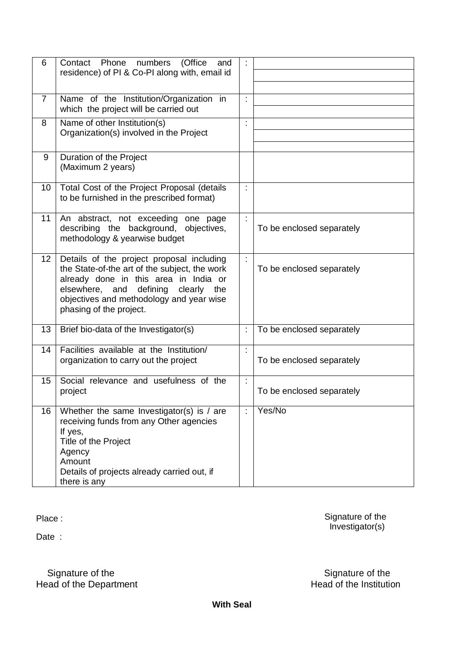| 6               | Contact Phone numbers<br>(Office<br>and<br>residence) of PI & Co-PI along with, email id |    |                           |
|-----------------|------------------------------------------------------------------------------------------|----|---------------------------|
|                 |                                                                                          |    |                           |
| $\overline{7}$  | Name of the Institution/Organization in                                                  | t, |                           |
|                 | which the project will be carried out                                                    |    |                           |
| 8               | Name of other Institution(s)                                                             | t  |                           |
|                 | Organization(s) involved in the Project                                                  |    |                           |
|                 |                                                                                          |    |                           |
| 9               | Duration of the Project                                                                  |    |                           |
|                 | (Maximum 2 years)                                                                        |    |                           |
|                 |                                                                                          |    |                           |
| 10              | Total Cost of the Project Proposal (details                                              | t, |                           |
|                 | to be furnished in the prescribed format)                                                |    |                           |
|                 |                                                                                          |    |                           |
| 11              | An abstract, not exceeding one page                                                      | t  |                           |
|                 | describing the background, objectives,                                                   |    | To be enclosed separately |
|                 | methodology & yearwise budget                                                            |    |                           |
| 12 <sub>2</sub> | Details of the project proposal including                                                | ł. |                           |
|                 | the State-of-the art of the subject, the work                                            |    | To be enclosed separately |
|                 | already done in this area in India or                                                    |    |                           |
|                 | elsewhere, and<br>defining<br>clearly<br>the                                             |    |                           |
|                 | objectives and methodology and year wise                                                 |    |                           |
|                 | phasing of the project.                                                                  |    |                           |
|                 |                                                                                          |    |                           |
| 13              | Brief bio-data of the Investigator(s)                                                    | ÷  | To be enclosed separately |
|                 |                                                                                          |    |                           |
| 14              | Facilities available at the Institution/                                                 | t, |                           |
|                 | organization to carry out the project                                                    |    | To be enclosed separately |
| 15              | Social relevance and usefulness of the                                                   | t, |                           |
|                 | project                                                                                  |    | To be enclosed separately |
|                 |                                                                                          |    |                           |
| 16              | Whether the same Investigator(s) is / are                                                |    | Yes/No                    |
|                 | receiving funds from any Other agencies                                                  |    |                           |
|                 | If yes,                                                                                  |    |                           |
|                 | Title of the Project                                                                     |    |                           |
|                 | Agency                                                                                   |    |                           |
|                 | Amount                                                                                   |    |                           |
|                 | Details of projects already carried out, if                                              |    |                           |
|                 | there is any                                                                             |    |                           |

Date :

Signature of the Head of the Department

Place : Signature of the Signature of the Signature of the Signature of the Signature of the Signature of the Signature of the Signature of the Signature of the Signature of the Signature of the Signature of the Signature Investigator(s)

> Signature of the Head of the Institution

**With Seal**